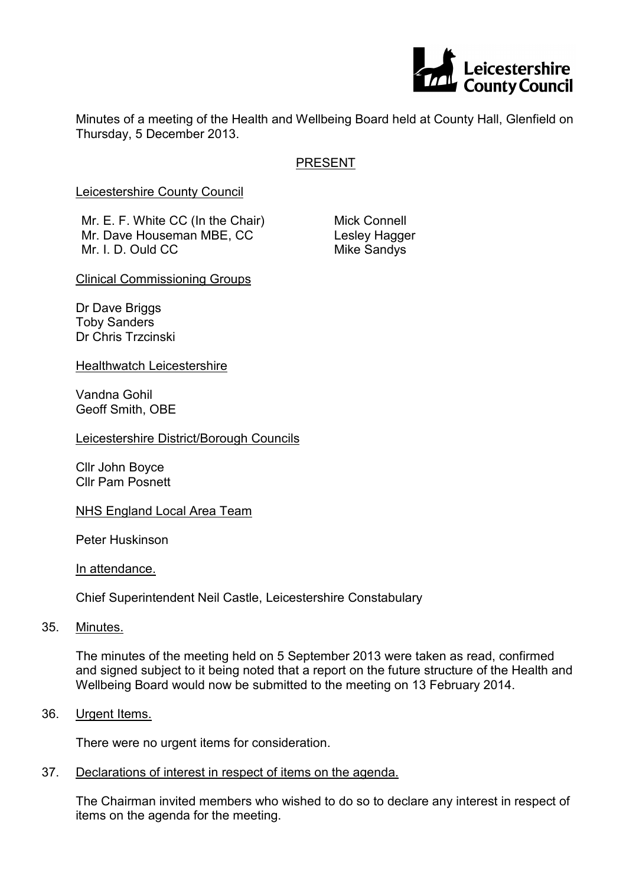

Minutes of a meeting of the Health and Wellbeing Board held at County Hall, Glenfield on Thursday, 5 December 2013.

# PRESENT

Leicestershire County Council

Mr. E. F. White CC (In the Chair) Mr. Dave Houseman MBE, CC Mr. I. D. Ould CC

Mick Connell Lesley Hagger Mike Sandys

Clinical Commissioning Groups

Dr Dave Briggs Toby Sanders Dr Chris Trzcinski

Healthwatch Leicestershire

Vandna Gohil Geoff Smith, OBE

Leicestershire District/Borough Councils

Cllr John Boyce Cllr Pam Posnett

NHS England Local Area Team

Peter Huskinson

In attendance.

Chief Superintendent Neil Castle, Leicestershire Constabulary

35. Minutes.

The minutes of the meeting held on 5 September 2013 were taken as read, confirmed and signed subject to it being noted that a report on the future structure of the Health and Wellbeing Board would now be submitted to the meeting on 13 February 2014.

36. Urgent Items.

There were no urgent items for consideration.

37. Declarations of interest in respect of items on the agenda.

The Chairman invited members who wished to do so to declare any interest in respect of items on the agenda for the meeting.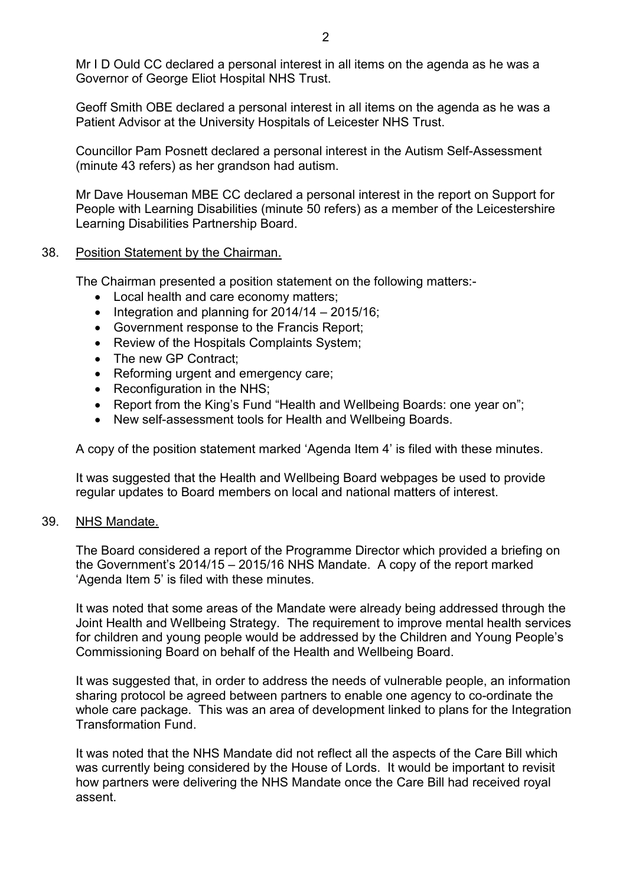Mr I D Ould CC declared a personal interest in all items on the agenda as he was a Governor of George Eliot Hospital NHS Trust.

Geoff Smith OBE declared a personal interest in all items on the agenda as he was a Patient Advisor at the University Hospitals of Leicester NHS Trust.

Councillor Pam Posnett declared a personal interest in the Autism Self-Assessment (minute 43 refers) as her grandson had autism.

Mr Dave Houseman MBE CC declared a personal interest in the report on Support for People with Learning Disabilities (minute 50 refers) as a member of the Leicestershire Learning Disabilities Partnership Board.

### 38. Position Statement by the Chairman.

The Chairman presented a position statement on the following matters:-

- Local health and care economy matters;
- Integration and planning for 2014/14 2015/16;
- Government response to the Francis Report;
- Review of the Hospitals Complaints System;
- The new GP Contract;
- Reforming urgent and emergency care;
- Reconfiguration in the NHS:
- Report from the King's Fund "Health and Wellbeing Boards: one year on";
- New self-assessment tools for Health and Wellbeing Boards.

A copy of the position statement marked 'Agenda Item 4' is filed with these minutes.

It was suggested that the Health and Wellbeing Board webpages be used to provide regular updates to Board members on local and national matters of interest.

### 39. NHS Mandate.

The Board considered a report of the Programme Director which provided a briefing on the Government's 2014/15 – 2015/16 NHS Mandate. A copy of the report marked 'Agenda Item 5' is filed with these minutes.

It was noted that some areas of the Mandate were already being addressed through the Joint Health and Wellbeing Strategy. The requirement to improve mental health services for children and young people would be addressed by the Children and Young People's Commissioning Board on behalf of the Health and Wellbeing Board.

It was suggested that, in order to address the needs of vulnerable people, an information sharing protocol be agreed between partners to enable one agency to co-ordinate the whole care package. This was an area of development linked to plans for the Integration Transformation Fund.

It was noted that the NHS Mandate did not reflect all the aspects of the Care Bill which was currently being considered by the House of Lords. It would be important to revisit how partners were delivering the NHS Mandate once the Care Bill had received royal assent.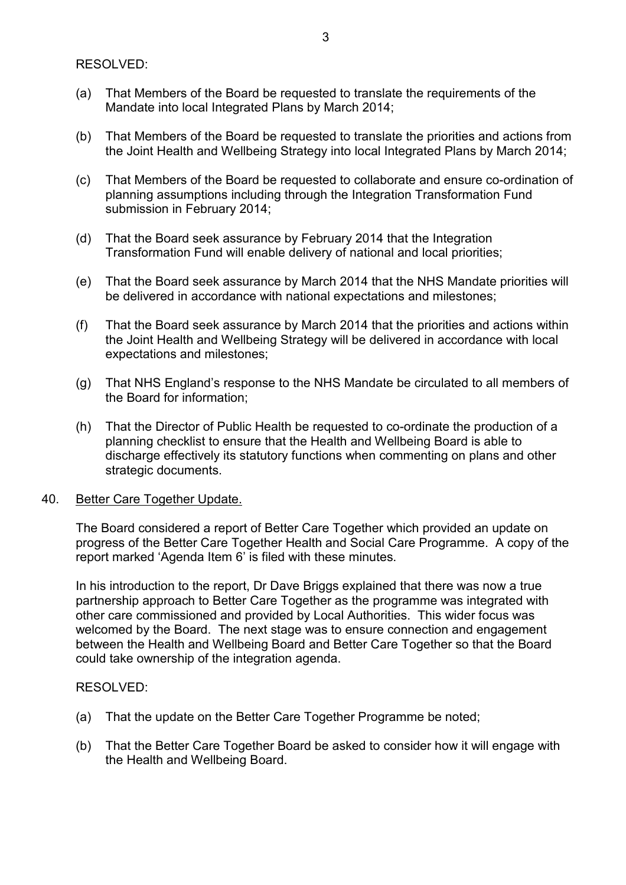RESOLVED:

- (a) That Members of the Board be requested to translate the requirements of the Mandate into local Integrated Plans by March 2014;
- (b) That Members of the Board be requested to translate the priorities and actions from the Joint Health and Wellbeing Strategy into local Integrated Plans by March 2014;
- (c) That Members of the Board be requested to collaborate and ensure co-ordination of planning assumptions including through the Integration Transformation Fund submission in February 2014;
- (d) That the Board seek assurance by February 2014 that the Integration Transformation Fund will enable delivery of national and local priorities;
- (e) That the Board seek assurance by March 2014 that the NHS Mandate priorities will be delivered in accordance with national expectations and milestones;
- (f) That the Board seek assurance by March 2014 that the priorities and actions within the Joint Health and Wellbeing Strategy will be delivered in accordance with local expectations and milestones;
- (g) That NHS England's response to the NHS Mandate be circulated to all members of the Board for information;
- (h) That the Director of Public Health be requested to co-ordinate the production of a planning checklist to ensure that the Health and Wellbeing Board is able to discharge effectively its statutory functions when commenting on plans and other strategic documents.

### 40. Better Care Together Update.

The Board considered a report of Better Care Together which provided an update on progress of the Better Care Together Health and Social Care Programme. A copy of the report marked 'Agenda Item 6' is filed with these minutes.

In his introduction to the report, Dr Dave Briggs explained that there was now a true partnership approach to Better Care Together as the programme was integrated with other care commissioned and provided by Local Authorities. This wider focus was welcomed by the Board. The next stage was to ensure connection and engagement between the Health and Wellbeing Board and Better Care Together so that the Board could take ownership of the integration agenda.

### RESOLVED:

- (a) That the update on the Better Care Together Programme be noted;
- (b) That the Better Care Together Board be asked to consider how it will engage with the Health and Wellbeing Board.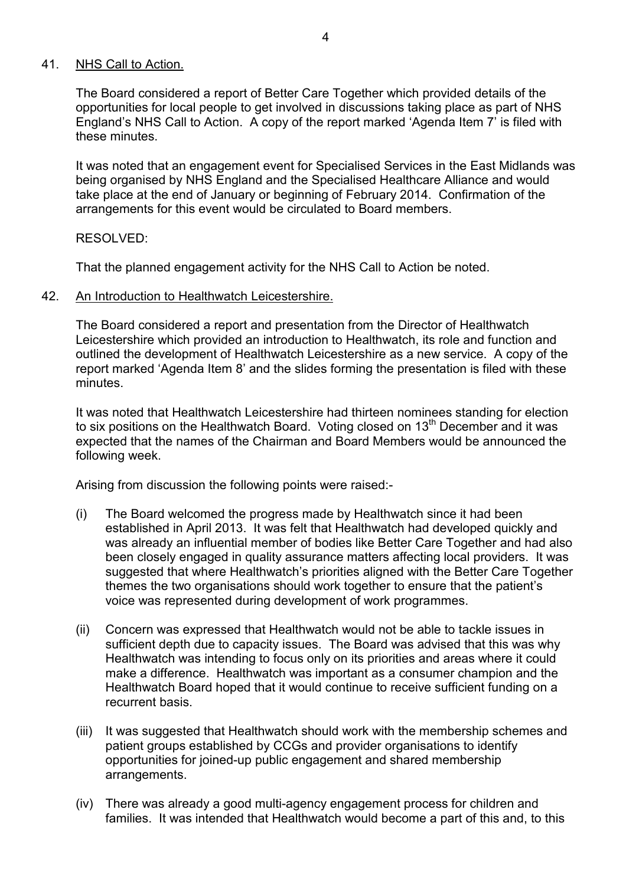## 41. NHS Call to Action.

The Board considered a report of Better Care Together which provided details of the opportunities for local people to get involved in discussions taking place as part of NHS England's NHS Call to Action. A copy of the report marked 'Agenda Item 7' is filed with these minutes.

It was noted that an engagement event for Specialised Services in the East Midlands was being organised by NHS England and the Specialised Healthcare Alliance and would take place at the end of January or beginning of February 2014. Confirmation of the arrangements for this event would be circulated to Board members.

## RESOLVED:

That the planned engagement activity for the NHS Call to Action be noted.

### 42. An Introduction to Healthwatch Leicestershire.

The Board considered a report and presentation from the Director of Healthwatch Leicestershire which provided an introduction to Healthwatch, its role and function and outlined the development of Healthwatch Leicestershire as a new service. A copy of the report marked 'Agenda Item 8' and the slides forming the presentation is filed with these minutes.

It was noted that Healthwatch Leicestershire had thirteen nominees standing for election to six positions on the Healthwatch Board. Voting closed on  $13<sup>th</sup>$  December and it was expected that the names of the Chairman and Board Members would be announced the following week.

Arising from discussion the following points were raised:-

- (i) The Board welcomed the progress made by Healthwatch since it had been established in April 2013. It was felt that Healthwatch had developed quickly and was already an influential member of bodies like Better Care Together and had also been closely engaged in quality assurance matters affecting local providers. It was suggested that where Healthwatch's priorities aligned with the Better Care Together themes the two organisations should work together to ensure that the patient's voice was represented during development of work programmes.
- (ii) Concern was expressed that Healthwatch would not be able to tackle issues in sufficient depth due to capacity issues. The Board was advised that this was why Healthwatch was intending to focus only on its priorities and areas where it could make a difference. Healthwatch was important as a consumer champion and the Healthwatch Board hoped that it would continue to receive sufficient funding on a recurrent basis.
- (iii) It was suggested that Healthwatch should work with the membership schemes and patient groups established by CCGs and provider organisations to identify opportunities for joined-up public engagement and shared membership arrangements.
- (iv) There was already a good multi-agency engagement process for children and families. It was intended that Healthwatch would become a part of this and, to this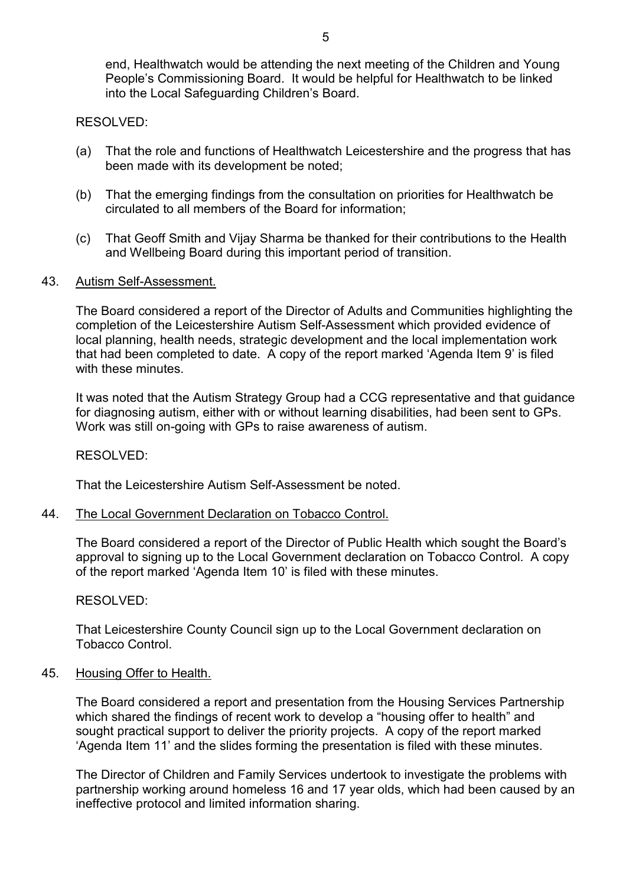end, Healthwatch would be attending the next meeting of the Children and Young People's Commissioning Board. It would be helpful for Healthwatch to be linked into the Local Safeguarding Children's Board.

RESOLVED:

- (a) That the role and functions of Healthwatch Leicestershire and the progress that has been made with its development be noted;
- (b) That the emerging findings from the consultation on priorities for Healthwatch be circulated to all members of the Board for information;
- (c) That Geoff Smith and Vijay Sharma be thanked for their contributions to the Health and Wellbeing Board during this important period of transition.

### 43. Autism Self-Assessment.

The Board considered a report of the Director of Adults and Communities highlighting the completion of the Leicestershire Autism Self-Assessment which provided evidence of local planning, health needs, strategic development and the local implementation work that had been completed to date. A copy of the report marked 'Agenda Item 9' is filed with these minutes.

It was noted that the Autism Strategy Group had a CCG representative and that guidance for diagnosing autism, either with or without learning disabilities, had been sent to GPs. Work was still on-going with GPs to raise awareness of autism.

RESOLVED:

That the Leicestershire Autism Self-Assessment be noted.

### 44. The Local Government Declaration on Tobacco Control.

The Board considered a report of the Director of Public Health which sought the Board's approval to signing up to the Local Government declaration on Tobacco Control. A copy of the report marked 'Agenda Item 10' is filed with these minutes.

RESOLVED:

That Leicestershire County Council sign up to the Local Government declaration on Tobacco Control.

### 45. Housing Offer to Health.

The Board considered a report and presentation from the Housing Services Partnership which shared the findings of recent work to develop a "housing offer to health" and sought practical support to deliver the priority projects. A copy of the report marked 'Agenda Item 11' and the slides forming the presentation is filed with these minutes.

The Director of Children and Family Services undertook to investigate the problems with partnership working around homeless 16 and 17 year olds, which had been caused by an ineffective protocol and limited information sharing.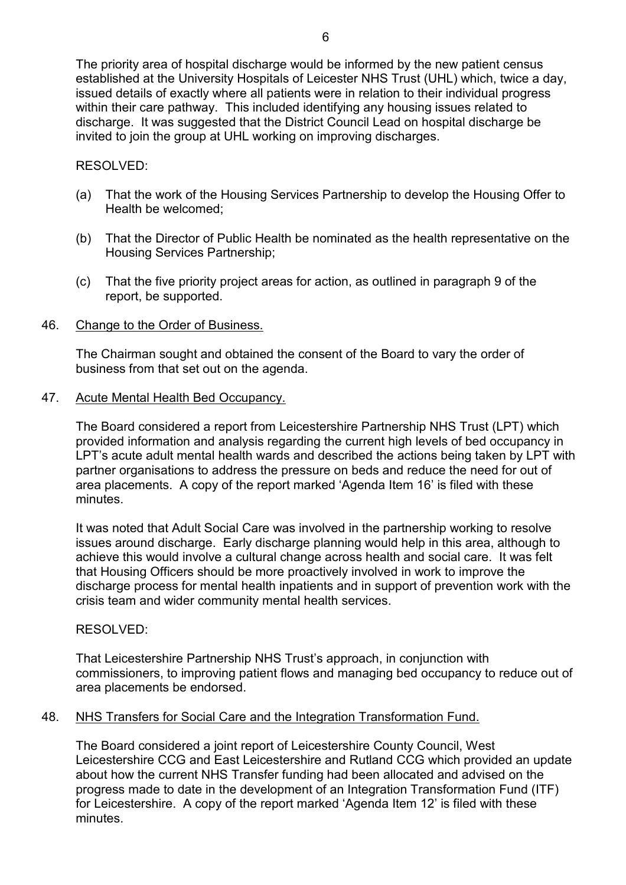The priority area of hospital discharge would be informed by the new patient census established at the University Hospitals of Leicester NHS Trust (UHL) which, twice a day, issued details of exactly where all patients were in relation to their individual progress within their care pathway. This included identifying any housing issues related to discharge. It was suggested that the District Council Lead on hospital discharge be invited to join the group at UHL working on improving discharges.

## RESOLVED:

- (a) That the work of the Housing Services Partnership to develop the Housing Offer to Health be welcomed;
- (b) That the Director of Public Health be nominated as the health representative on the Housing Services Partnership;
- (c) That the five priority project areas for action, as outlined in paragraph 9 of the report, be supported.

## 46. Change to the Order of Business.

The Chairman sought and obtained the consent of the Board to vary the order of business from that set out on the agenda.

### 47. Acute Mental Health Bed Occupancy.

The Board considered a report from Leicestershire Partnership NHS Trust (LPT) which provided information and analysis regarding the current high levels of bed occupancy in LPT's acute adult mental health wards and described the actions being taken by LPT with partner organisations to address the pressure on beds and reduce the need for out of area placements. A copy of the report marked 'Agenda Item 16' is filed with these minutes.

It was noted that Adult Social Care was involved in the partnership working to resolve issues around discharge. Early discharge planning would help in this area, although to achieve this would involve a cultural change across health and social care. It was felt that Housing Officers should be more proactively involved in work to improve the discharge process for mental health inpatients and in support of prevention work with the crisis team and wider community mental health services.

## RESOLVED:

That Leicestershire Partnership NHS Trust's approach, in conjunction with commissioners, to improving patient flows and managing bed occupancy to reduce out of area placements be endorsed.

## 48. NHS Transfers for Social Care and the Integration Transformation Fund.

The Board considered a joint report of Leicestershire County Council, West Leicestershire CCG and East Leicestershire and Rutland CCG which provided an update about how the current NHS Transfer funding had been allocated and advised on the progress made to date in the development of an Integration Transformation Fund (ITF) for Leicestershire. A copy of the report marked 'Agenda Item 12' is filed with these minutes.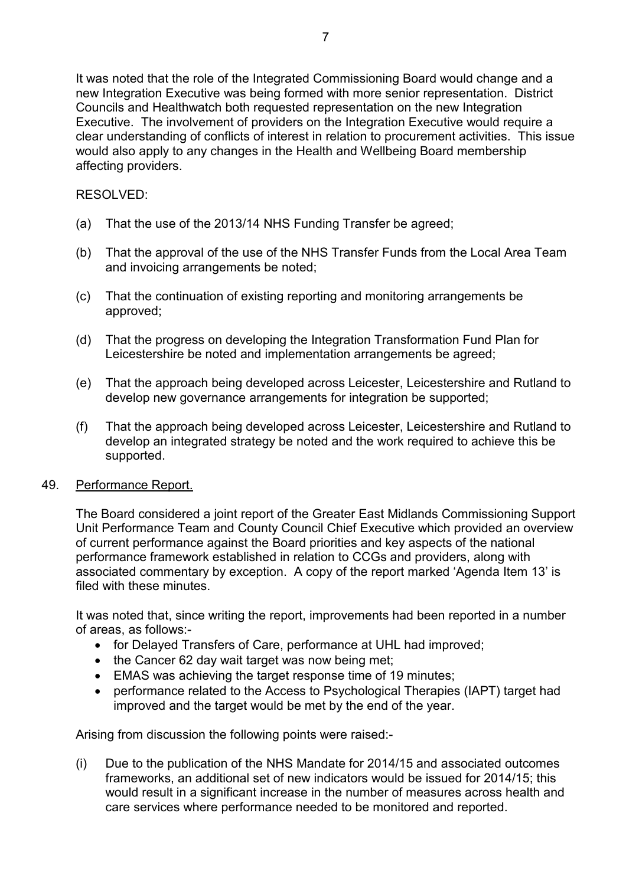It was noted that the role of the Integrated Commissioning Board would change and a new Integration Executive was being formed with more senior representation. District Councils and Healthwatch both requested representation on the new Integration Executive. The involvement of providers on the Integration Executive would require a clear understanding of conflicts of interest in relation to procurement activities. This issue would also apply to any changes in the Health and Wellbeing Board membership affecting providers.

# RESOLVED:

- (a) That the use of the 2013/14 NHS Funding Transfer be agreed;
- (b) That the approval of the use of the NHS Transfer Funds from the Local Area Team and invoicing arrangements be noted;
- (c) That the continuation of existing reporting and monitoring arrangements be approved;
- (d) That the progress on developing the Integration Transformation Fund Plan for Leicestershire be noted and implementation arrangements be agreed;
- (e) That the approach being developed across Leicester, Leicestershire and Rutland to develop new governance arrangements for integration be supported;
- (f) That the approach being developed across Leicester, Leicestershire and Rutland to develop an integrated strategy be noted and the work required to achieve this be supported.

## 49. Performance Report.

The Board considered a joint report of the Greater East Midlands Commissioning Support Unit Performance Team and County Council Chief Executive which provided an overview of current performance against the Board priorities and key aspects of the national performance framework established in relation to CCGs and providers, along with associated commentary by exception. A copy of the report marked 'Agenda Item 13' is filed with these minutes

It was noted that, since writing the report, improvements had been reported in a number of areas, as follows:-

- for Delayed Transfers of Care, performance at UHL had improved;
- the Cancer 62 day wait target was now being met;
- EMAS was achieving the target response time of 19 minutes;
- performance related to the Access to Psychological Therapies (IAPT) target had improved and the target would be met by the end of the year.

Arising from discussion the following points were raised:-

(i) Due to the publication of the NHS Mandate for 2014/15 and associated outcomes frameworks, an additional set of new indicators would be issued for 2014/15; this would result in a significant increase in the number of measures across health and care services where performance needed to be monitored and reported.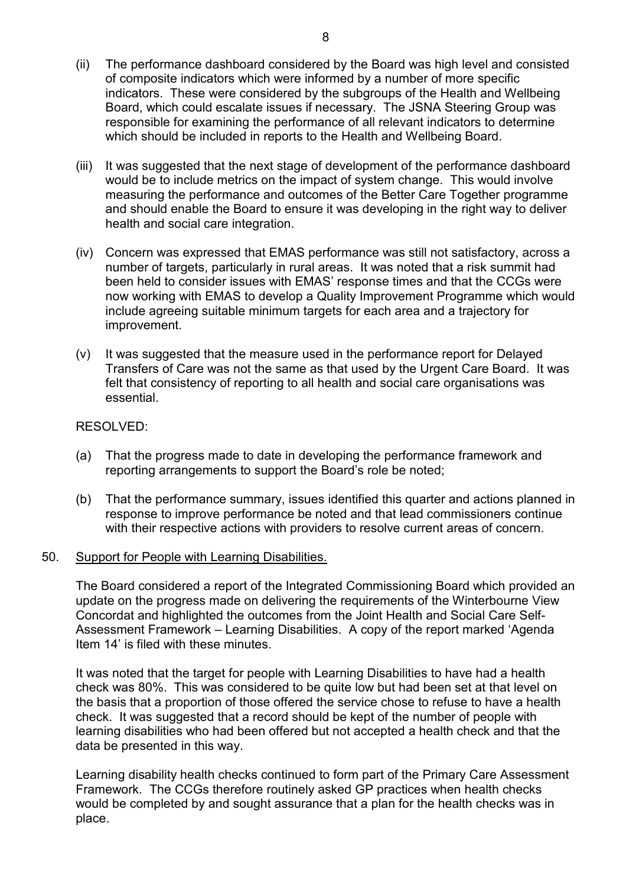- (ii) The performance dashboard considered by the Board was high level and consisted of composite indicators which were informed by a number of more specific indicators. These were considered by the subgroups of the Health and Wellbeing Board, which could escalate issues if necessary. The JSNA Steering Group was responsible for examining the performance of all relevant indicators to determine which should be included in reports to the Health and Wellbeing Board.
- (iii) It was suggested that the next stage of development of the performance dashboard would be to include metrics on the impact of system change. This would involve measuring the performance and outcomes of the Better Care Together programme and should enable the Board to ensure it was developing in the right way to deliver health and social care integration.
- (iv) Concern was expressed that EMAS performance was still not satisfactory, across a number of targets, particularly in rural areas. It was noted that a risk summit had been held to consider issues with EMAS' response times and that the CCGs were now working with EMAS to develop a Quality Improvement Programme which would include agreeing suitable minimum targets for each area and a trajectory for improvement.
- (v) It was suggested that the measure used in the performance report for Delayed Transfers of Care was not the same as that used by the Urgent Care Board. It was felt that consistency of reporting to all health and social care organisations was essential.

## RESOLVED:

- (a) That the progress made to date in developing the performance framework and reporting arrangements to support the Board's role be noted;
- (b) That the performance summary, issues identified this quarter and actions planned in response to improve performance be noted and that lead commissioners continue with their respective actions with providers to resolve current areas of concern.

### 50. Support for People with Learning Disabilities.

The Board considered a report of the Integrated Commissioning Board which provided an update on the progress made on delivering the requirements of the Winterbourne View Concordat and highlighted the outcomes from the Joint Health and Social Care Self-Assessment Framework – Learning Disabilities. A copy of the report marked 'Agenda Item 14' is filed with these minutes.

It was noted that the target for people with Learning Disabilities to have had a health check was 80%. This was considered to be quite low but had been set at that level on the basis that a proportion of those offered the service chose to refuse to have a health check. It was suggested that a record should be kept of the number of people with learning disabilities who had been offered but not accepted a health check and that the data be presented in this way.

Learning disability health checks continued to form part of the Primary Care Assessment Framework. The CCGs therefore routinely asked GP practices when health checks would be completed by and sought assurance that a plan for the health checks was in place.